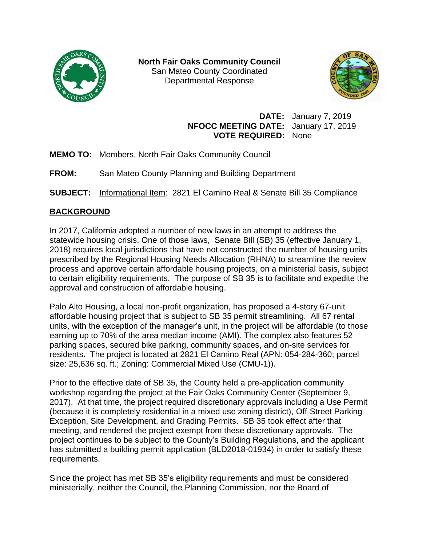

**North Fair Oaks Community Council** San Mateo County Coordinated Departmental Response



**DATE:** January 7, 2019 **NFOCC MEETING DATE:** January 17, 2019 **VOTE REQUIRED:** None

- **MEMO TO:** Members, North Fair Oaks Community Council
- **FROM:** San Mateo County Planning and Building Department

**SUBJECT:** Informational Item: 2821 El Camino Real & Senate Bill 35 Compliance

# **BACKGROUND**

In 2017, California adopted a number of new laws in an attempt to address the statewide housing crisis. One of those laws, Senate Bill (SB) 35 (effective January 1, 2018) requires local jurisdictions that have not constructed the number of housing units prescribed by the Regional Housing Needs Allocation (RHNA) to streamline the review process and approve certain affordable housing projects, on a ministerial basis, subject to certain eligibility requirements. The purpose of SB 35 is to facilitate and expedite the approval and construction of affordable housing.

Palo Alto Housing, a local non-profit organization, has proposed a 4-story 67-unit affordable housing project that is subject to SB 35 permit streamlining. All 67 rental units, with the exception of the manager's unit, in the project will be affordable (to those earning up to 70% of the area median income (AMI). The complex also features 52 parking spaces, secured bike parking, community spaces, and on-site services for residents. The project is located at 2821 El Camino Real (APN: 054-284-360; parcel size: 25,636 sq. ft.; Zoning: Commercial Mixed Use (CMU-1)).

Prior to the effective date of SB 35, the County held a pre-application community workshop regarding the project at the Fair Oaks Community Center (September 9, 2017). At that time, the project required discretionary approvals including a Use Permit (because it is completely residential in a mixed use zoning district), Off-Street Parking Exception, Site Development, and Grading Permits. SB 35 took effect after that meeting, and rendered the project exempt from these discretionary approvals. The project continues to be subject to the County's Building Regulations, and the applicant has submitted a building permit application (BLD2018-01934) in order to satisfy these requirements.

Since the project has met SB 35's eligibility requirements and must be considered ministerially, neither the Council, the Planning Commission, nor the Board of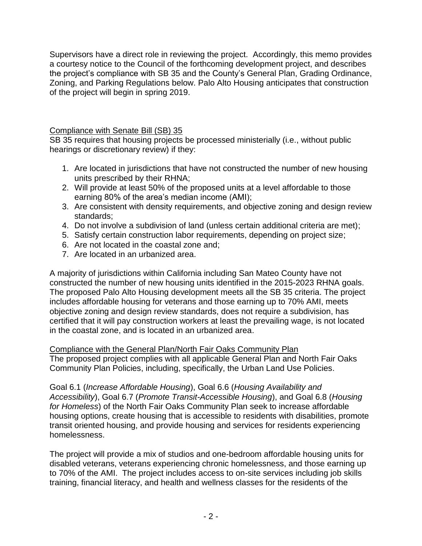Supervisors have a direct role in reviewing the project. Accordingly, this memo provides a courtesy notice to the Council of the forthcoming development project, and describes the project's compliance with SB 35 and the County's General Plan, Grading Ordinance, Zoning, and Parking Regulations below. Palo Alto Housing anticipates that construction of the project will begin in spring 2019.

Compliance with Senate Bill (SB) 35

SB 35 requires that housing projects be processed ministerially (i.e., without public hearings or discretionary review) if they:

- 1. Are located in jurisdictions that have not constructed the number of new housing units prescribed by their RHNA;
- 2. Will provide at least 50% of the proposed units at a level affordable to those earning 80% of the area's median income (AMI);
- 3. Are consistent with density requirements, and objective zoning and design review standards;
- 4. Do not involve a subdivision of land (unless certain additional criteria are met);
- 5. Satisfy certain construction labor requirements, depending on project size;
- 6. Are not located in the coastal zone and;
- 7. Are located in an urbanized area.

A majority of jurisdictions within California including San Mateo County have not constructed the number of new housing units identified in the 2015-2023 RHNA goals. The proposed Palo Alto Housing development meets all the SB 35 criteria. The project includes affordable housing for veterans and those earning up to 70% AMI, meets objective zoning and design review standards, does not require a subdivision, has certified that it will pay construction workers at least the prevailing wage, is not located in the coastal zone, and is located in an urbanized area.

# Compliance with the General Plan/North Fair Oaks Community Plan

The proposed project complies with all applicable General Plan and North Fair Oaks Community Plan Policies, including, specifically, the Urban Land Use Policies.

Goal 6.1 (*Increase Affordable Housing*), Goal 6.6 (*Housing Availability and Accessibility*), Goal 6.7 (*Promote Transit-Accessible Housing*), and Goal 6.8 (*Housing for Homeless*) of the North Fair Oaks Community Plan seek to increase affordable housing options, create housing that is accessible to residents with disabilities, promote transit oriented housing, and provide housing and services for residents experiencing homelessness.

The project will provide a mix of studios and one-bedroom affordable housing units for disabled veterans, veterans experiencing chronic homelessness, and those earning up to 70% of the AMI. The project includes access to on-site services including job skills training, financial literacy, and health and wellness classes for the residents of the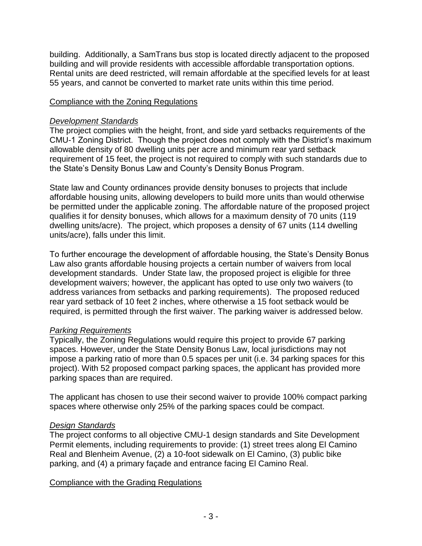building. Additionally, a SamTrans bus stop is located directly adjacent to the proposed building and will provide residents with accessible affordable transportation options. Rental units are deed restricted, will remain affordable at the specified levels for at least 55 years, and cannot be converted to market rate units within this time period.

# Compliance with the Zoning Regulations

## *Development Standards*

The project complies with the height, front, and side yard setbacks requirements of the CMU-1 Zoning District. Though the project does not comply with the District's maximum allowable density of 80 dwelling units per acre and minimum rear yard setback requirement of 15 feet, the project is not required to comply with such standards due to the State's Density Bonus Law and County's Density Bonus Program.

State law and County ordinances provide density bonuses to projects that include affordable housing units, allowing developers to build more units than would otherwise be permitted under the applicable zoning. The affordable nature of the proposed project qualifies it for density bonuses, which allows for a maximum density of 70 units (119 dwelling units/acre). The project, which proposes a density of 67 units (114 dwelling units/acre), falls under this limit.

To further encourage the development of affordable housing, the State's Density Bonus Law also grants affordable housing projects a certain number of waivers from local development standards. Under State law, the proposed project is eligible for three development waivers; however, the applicant has opted to use only two waivers (to address variances from setbacks and parking requirements). The proposed reduced rear yard setback of 10 feet 2 inches, where otherwise a 15 foot setback would be required, is permitted through the first waiver. The parking waiver is addressed below.

### *Parking Requirements*

Typically, the Zoning Regulations would require this project to provide 67 parking spaces. However, under the State Density Bonus Law, local jurisdictions may not impose a parking ratio of more than 0.5 spaces per unit (i.e. 34 parking spaces for this project). With 52 proposed compact parking spaces, the applicant has provided more parking spaces than are required.

The applicant has chosen to use their second waiver to provide 100% compact parking spaces where otherwise only 25% of the parking spaces could be compact.

# *Design Standards*

The project conforms to all objective CMU-1 design standards and Site Development Permit elements, including requirements to provide: (1) street trees along El Camino Real and Blenheim Avenue, (2) a 10-foot sidewalk on El Camino, (3) public bike parking, and (4) a primary façade and entrance facing El Camino Real.

### Compliance with the Grading Regulations